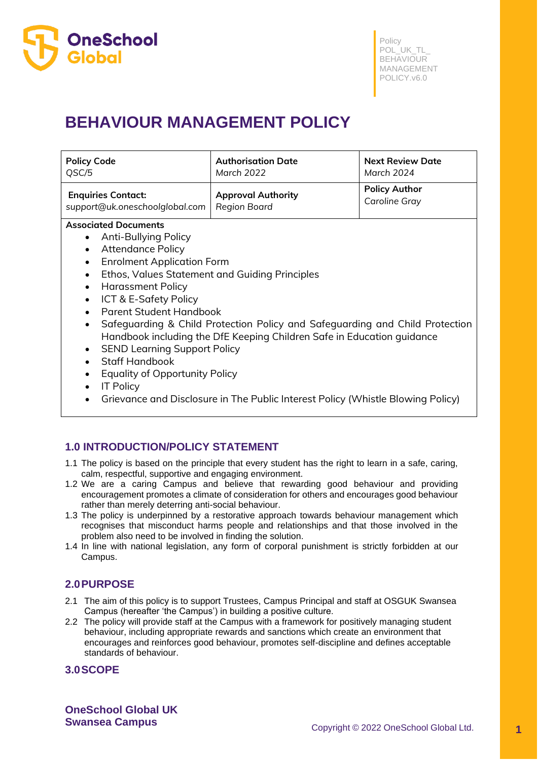

# **BEHAVIOUR MANAGEMENT POLICY**

| <b>Policy Code</b>             | <b>Authorisation Date</b> | <b>Next Review Date</b> |
|--------------------------------|---------------------------|-------------------------|
| QSC/5                          | March 2022                | March 2024              |
| <b>Enquiries Contact:</b>      | <b>Approval Authority</b> | <b>Policy Author</b>    |
| support@uk.oneschoolglobal.com | Region Board              | <b>Caroline Gray</b>    |

## **Associated Documents**

- Anti-Bullying Policy
- Attendance Policy
- Enrolment Application Form
- Ethos, Values Statement and Guiding Principles
- Harassment Policy
- ICT & E-Safety Policy
- Parent Student Handbook
- Safeguarding & Child Protection Policy and Safeguarding and Child Protection Handbook including the DfE Keeping Children Safe in Education guidance
- SEND Learning Support Policy
- Staff Handbook
- Equality of Opportunity Policy
- IT Policy
- Grievance and Disclosure in The Public Interest Policy (Whistle Blowing Policy)

# **1.0 INTRODUCTION/POLICY STATEMENT**

- 1.1 The policy is based on the principle that every student has the right to learn in a safe, caring, calm, respectful, supportive and engaging environment.
- 1.2 We are a caring Campus and believe that rewarding good behaviour and providing encouragement promotes a climate of consideration for others and encourages good behaviour rather than merely deterring anti-social behaviour.
- 1.3 The policy is underpinned by a restorative approach towards behaviour management which recognises that misconduct harms people and relationships and that those involved in the problem also need to be involved in finding the solution.
- 1.4 In line with national legislation, any form of corporal punishment is strictly forbidden at our Campus.

# **2.0PURPOSE**

- 2.1 The aim of this policy is to support Trustees, Campus Principal and staff at OSGUK Swansea Campus (hereafter 'the Campus') in building a positive culture.
- 2.2 The policy will provide staff at the Campus with a framework for positively managing student behaviour, including appropriate rewards and sanctions which create an environment that encourages and reinforces good behaviour, promotes self-discipline and defines acceptable standards of behaviour.

# **3.0SCOPE**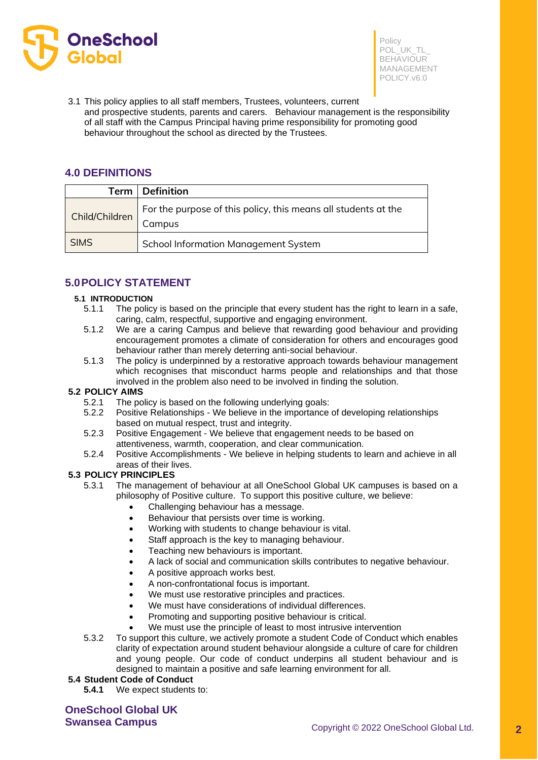

3.1 This policy applies to all staff members, Trustees, volunteers, current and prospective students, parents and carers. Behaviour management is the responsibility of all staff with the Campus Principal having prime responsibility for promoting good behaviour throughout the school as directed by the Trustees.

# **4.0 DEFINITIONS**

| Term           | <b>Definition</b>                                                        |
|----------------|--------------------------------------------------------------------------|
| Child/Children | For the purpose of this policy, this means all students at the<br>Campus |
| <b>SIMS</b>    | <b>School Information Management System</b>                              |

# **5.0POLICY STATEMENT**

### **5.1 INTRODUCTION**

- 5.1.1 The policy is based on the principle that every student has the right to learn in a safe, caring, calm, respectful, supportive and engaging environment.
- 5.1.2 We are a caring Campus and believe that rewarding good behaviour and providing encouragement promotes a climate of consideration for others and encourages good behaviour rather than merely deterring anti-social behaviour.
- 5.1.3 The policy is underpinned by a restorative approach towards behaviour management which recognises that misconduct harms people and relationships and that those involved in the problem also need to be involved in finding the solution.

## **5.2 POLICY AIMS**

- 5.2.1 The policy is based on the following underlying goals:
- 5.2.2 Positive Relationships We believe in the importance of developing relationships based on mutual respect, trust and integrity.
- 5.2.3 Positive Engagement We believe that engagement needs to be based on attentiveness, warmth, cooperation, and clear communication.
- 5.2.4 Positive Accomplishments We believe in helping students to learn and achieve in all areas of their lives.

#### **5.3 POLICY PRINCIPLES**

- 5.3.1 The management of behaviour at all OneSchool Global UK campuses is based on a philosophy of Positive culture. To support this positive culture, we believe:
	- Challenging behaviour has a message.
	- Behaviour that persists over time is working.
	- Working with students to change behaviour is vital.
	- Staff approach is the key to managing behaviour.
	- Teaching new behaviours is important.
	- A lack of social and communication skills contributes to negative behaviour.
	- A positive approach works best.
	- A non-confrontational focus is important.
	- We must use restorative principles and practices.
	- We must have considerations of individual differences.
	- Promoting and supporting positive behaviour is critical.
	- We must use the principle of least to most intrusive intervention
- 5.3.2 To support this culture, we actively promote a student Code of Conduct which enables clarity of expectation around student behaviour alongside a culture of care for children and young people. Our code of conduct underpins all student behaviour and is designed to maintain a positive and safe learning environment for all.

#### **5.4 Student Code of Conduct**

**5.4.1** We expect students to: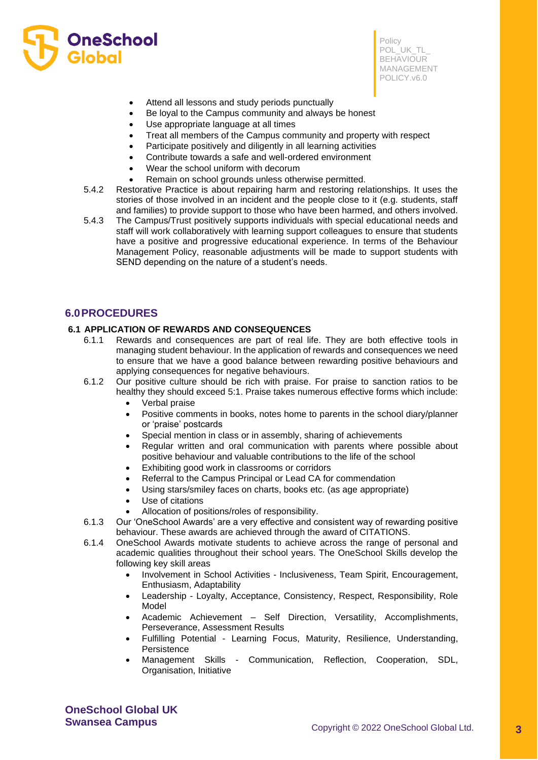

- Attend all lessons and study periods punctually
- Be loyal to the Campus community and always be honest
- Use appropriate language at all times
- Treat all members of the Campus community and property with respect
- Participate positively and diligently in all learning activities
- Contribute towards a safe and well-ordered environment
- Wear the school uniform with decorum
- Remain on school grounds unless otherwise permitted.
- 5.4.2 Restorative Practice is about repairing harm and restoring relationships. It uses the stories of those involved in an incident and the people close to it (e.g. students, staff and families) to provide support to those who have been harmed, and others involved.
- 5.4.3 The Campus/Trust positively supports individuals with special educational needs and staff will work collaboratively with learning support colleagues to ensure that students have a positive and progressive educational experience. In terms of the Behaviour Management Policy, reasonable adjustments will be made to support students with SEND depending on the nature of a student's needs.

## **6.0PROCEDURES**

#### **6.1 APPLICATION OF REWARDS AND CONSEQUENCES**

- 6.1.1 Rewards and consequences are part of real life. They are both effective tools in managing student behaviour. In the application of rewards and consequences we need to ensure that we have a good balance between rewarding positive behaviours and applying consequences for negative behaviours.
- 6.1.2 Our positive culture should be rich with praise. For praise to sanction ratios to be healthy they should exceed 5:1. Praise takes numerous effective forms which include:
	- Verbal praise
	- Positive comments in books, notes home to parents in the school diary/planner or 'praise' postcards
	- Special mention in class or in assembly, sharing of achievements
	- Regular written and oral communication with parents where possible about positive behaviour and valuable contributions to the life of the school
	- Exhibiting good work in classrooms or corridors
	- Referral to the Campus Principal or Lead CA for commendation
	- Using stars/smiley faces on charts, books etc. (as age appropriate)
	- Use of citations
	- Allocation of positions/roles of responsibility.
- 6.1.3 Our 'OneSchool Awards' are a very effective and consistent way of rewarding positive behaviour. These awards are achieved through the award of CITATIONS.
- 6.1.4 OneSchool Awards motivate students to achieve across the range of personal and academic qualities throughout their school years. The OneSchool Skills develop the following key skill areas
	- Involvement in School Activities Inclusiveness, Team Spirit, Encouragement, Enthusiasm, Adaptability
	- Leadership Loyalty, Acceptance, Consistency, Respect, Responsibility, Role Model
	- Academic Achievement Self Direction, Versatility, Accomplishments, Perseverance, Assessment Results
	- Fulfilling Potential Learning Focus, Maturity, Resilience, Understanding, Persistence
	- Management Skills Communication, Reflection, Cooperation, SDL, Organisation, Initiative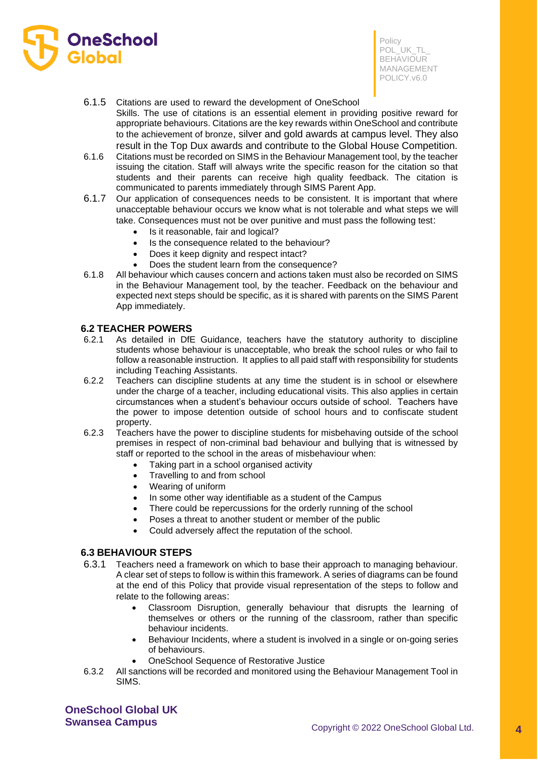

- 6.1.5 Citations are used to reward the development of OneSchool
- Skills. The use of citations is an essential element in providing positive reward for appropriate behaviours. Citations are the key rewards within OneSchool and contribute to the achievement of bronze, silver and gold awards at campus level. They also result in the Top Dux awards and contribute to the Global House Competition.
- 6.1.6 Citations must be recorded on SIMS in the Behaviour Management tool, by the teacher issuing the citation. Staff will always write the specific reason for the citation so that students and their parents can receive high quality feedback. The citation is communicated to parents immediately through SIMS Parent App.
- 6.1.7 Our application of consequences needs to be consistent. It is important that where unacceptable behaviour occurs we know what is not tolerable and what steps we will take. Consequences must not be over punitive and must pass the following test:
	- Is it reasonable, fair and logical?
	- Is the consequence related to the behaviour?
	- Does it keep dignity and respect intact?
	- Does the student learn from the consequence?
- 6.1.8 All behaviour which causes concern and actions taken must also be recorded on SIMS in the Behaviour Management tool, by the teacher. Feedback on the behaviour and expected next steps should be specific, as it is shared with parents on the SIMS Parent App immediately.

## **6.2 TEACHER POWERS**

- 6.2.1 As detailed in DfE Guidance, teachers have the statutory authority to discipline students whose behaviour is unacceptable, who break the school rules or who fail to follow a reasonable instruction. It applies to all paid staff with responsibility for students including Teaching Assistants.
- 6.2.2 Teachers can discipline students at any time the student is in school or elsewhere under the charge of a teacher, including educational visits. This also applies in certain circumstances when a student's behaviour occurs outside of school. Teachers have the power to impose detention outside of school hours and to confiscate student property.
- 6.2.3 Teachers have the power to discipline students for misbehaving outside of the school premises in respect of non-criminal bad behaviour and bullying that is witnessed by staff or reported to the school in the areas of misbehaviour when:
	- Taking part in a school organised activity
	- Travelling to and from school
	- Wearing of uniform
	- In some other way identifiable as a student of the Campus
	- There could be repercussions for the orderly running of the school
	- Poses a threat to another student or member of the public
	- Could adversely affect the reputation of the school.

## **6.3 BEHAVIOUR STEPS**

- 6.3.1 Teachers need a framework on which to base their approach to managing behaviour. A clear set of steps to follow is within this framework. A series of diagrams can be found at the end of this Policy that provide visual representation of the steps to follow and relate to the following areas:
	- Classroom Disruption, generally behaviour that disrupts the learning of themselves or others or the running of the classroom, rather than specific behaviour incidents.
	- Behaviour Incidents, where a student is involved in a single or on-going series of behaviours.
	- OneSchool Sequence of Restorative Justice
- 6.3.2 All sanctions will be recorded and monitored using the Behaviour Management Tool in SIMS.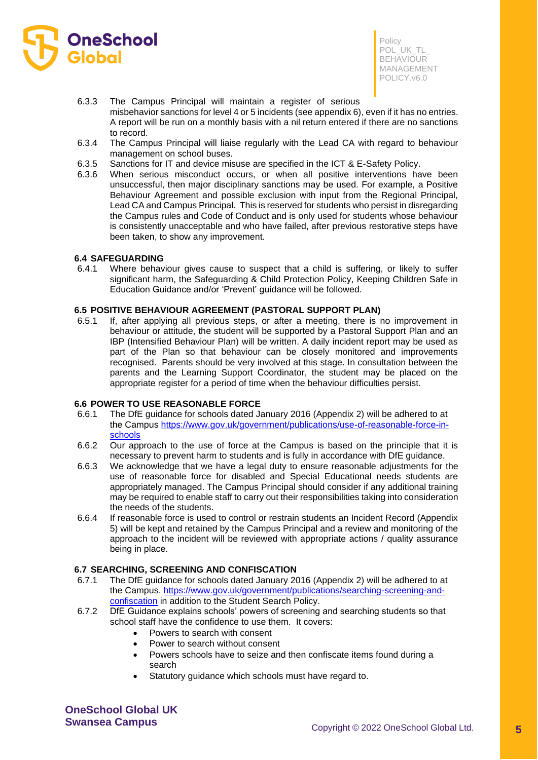

- 6.3.3 The Campus Principal will maintain a register of serious misbehavior sanctions for level 4 or 5 incidents (see appendix 6), even if it has no entries. A report will be run on a monthly basis with a nil return entered if there are no sanctions to record.
- 6.3.4 The Campus Principal will liaise regularly with the Lead CA with regard to behaviour management on school buses.
- 6.3.5 Sanctions for IT and device misuse are specified in the ICT & E-Safety Policy.
- 6.3.6 When serious misconduct occurs, or when all positive interventions have been unsuccessful, then major disciplinary sanctions may be used. For example, a Positive Behaviour Agreement and possible exclusion with input from the Regional Principal, Lead CA and Campus Principal. This is reserved for students who persist in disregarding the Campus rules and Code of Conduct and is only used for students whose behaviour is consistently unacceptable and who have failed, after previous restorative steps have been taken, to show any improvement.

#### **6.4 SAFEGUARDING**

6.4.1 Where behaviour gives cause to suspect that a child is suffering, or likely to suffer significant harm, the Safeguarding & Child Protection Policy, Keeping Children Safe in Education Guidance and/or 'Prevent' guidance will be followed.

### **6.5 POSITIVE BEHAVIOUR AGREEMENT (PASTORAL SUPPORT PLAN)**

6.5.1 If, after applying all previous steps, or after a meeting, there is no improvement in behaviour or attitude, the student will be supported by a Pastoral Support Plan and an IBP (Intensified Behaviour Plan) will be written. A daily incident report may be used as part of the Plan so that behaviour can be closely monitored and improvements recognised. Parents should be very involved at this stage. In consultation between the parents and the Learning Support Coordinator, the student may be placed on the appropriate register for a period of time when the behaviour difficulties persist.

#### **6.6 POWER TO USE REASONABLE FORCE**

- 6.6.1 The DfE guidance for schools dated January 2016 (Appendix 2) will be adhered to at the Campus [https://www.gov.uk/government/publications/use-of-reasonable-force-in](https://www.gov.uk/government/publications/use-of-reasonable-force-in-schools)[schools](https://www.gov.uk/government/publications/use-of-reasonable-force-in-schools)
- 6.6.2 Our approach to the use of force at the Campus is based on the principle that it is necessary to prevent harm to students and is fully in accordance with DfE guidance.
- 6.6.3 We acknowledge that we have a legal duty to ensure reasonable adjustments for the use of reasonable force for disabled and Special Educational needs students are appropriately managed. The Campus Principal should consider if any additional training may be required to enable staff to carry out their responsibilities taking into consideration the needs of the students.
- 6.6.4 If reasonable force is used to control or restrain students an Incident Record (Appendix 5) will be kept and retained by the Campus Principal and a review and monitoring of the approach to the incident will be reviewed with appropriate actions / quality assurance being in place.

#### **6.7 SEARCHING, SCREENING AND CONFISCATION**

- 6.7.1 The DfE guidance for schools dated January 2016 (Appendix 2) will be adhered to at the Campus. [https://www.gov.uk/government/publications/searching-screening-and](https://www.gov.uk/government/publications/searching-screening-and-confiscation)[confiscation](https://www.gov.uk/government/publications/searching-screening-and-confiscation) in addition to the Student Search Policy.
- 6.7.2 DfE Guidance explains schools' powers of screening and searching students so that school staff have the confidence to use them. It covers:
	- Powers to search with consent
	- Power to search without consent
	- Powers schools have to seize and then confiscate items found during a search
	- Statutory guidance which schools must have regard to.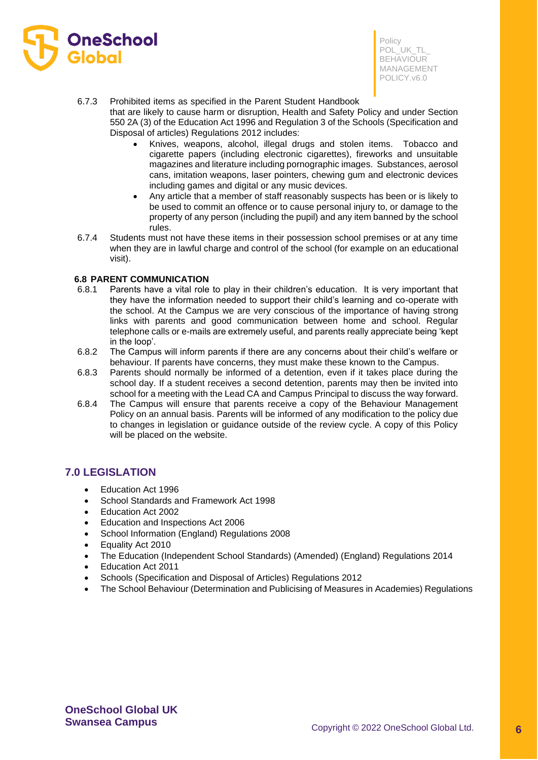

#### 6.7.3 Prohibited items as specified in the Parent Student Handbook

that are likely to cause harm or disruption, Health and Safety Policy and under Section 550 2A (3) of the Education Act 1996 and Regulation 3 of the Schools (Specification and Disposal of articles) Regulations 2012 includes:

- Knives, weapons, alcohol, illegal drugs and stolen items. Tobacco and cigarette papers (including electronic cigarettes), fireworks and unsuitable magazines and literature including pornographic images. Substances, aerosol cans, imitation weapons, laser pointers, chewing gum and electronic devices including games and digital or any music devices.
- Any article that a member of staff reasonably suspects has been or is likely to be used to commit an offence or to cause personal injury to, or damage to the property of any person (including the pupil) and any item banned by the school rules.
- 6.7.4 Students must not have these items in their possession school premises or at any time when they are in lawful charge and control of the school (for example on an educational visit).

## **6.8 PARENT COMMUNICATION**

- 6.8.1 Parents have a vital role to play in their children's education. It is very important that they have the information needed to support their child's learning and co-operate with the school. At the Campus we are very conscious of the importance of having strong links with parents and good communication between home and school. Regular telephone calls or e-mails are extremely useful, and parents really appreciate being 'kept in the loop'.
- 6.8.2 The Campus will inform parents if there are any concerns about their child's welfare or behaviour. If parents have concerns, they must make these known to the Campus.
- 6.8.3 Parents should normally be informed of a detention, even if it takes place during the school day. If a student receives a second detention, parents may then be invited into school for a meeting with the Lead CA and Campus Principal to discuss the way forward.
- 6.8.4 The Campus will ensure that parents receive a copy of the Behaviour Management Policy on an annual basis. Parents will be informed of any modification to the policy due to changes in legislation or guidance outside of the review cycle. A copy of this Policy will be placed on the website.

# **7.0 LEGISLATION**

- Education Act 1996
- School Standards and Framework Act 1998
- Education Act 2002
- Education and Inspections Act 2006
- School Information (England) Regulations 2008
- Equality Act 2010
- The Education (Independent School Standards) (Amended) (England) Regulations 2014
- Education Act 2011
- Schools (Specification and Disposal of Articles) Regulations 2012
- The School Behaviour (Determination and Publicising of Measures in Academies) Regulations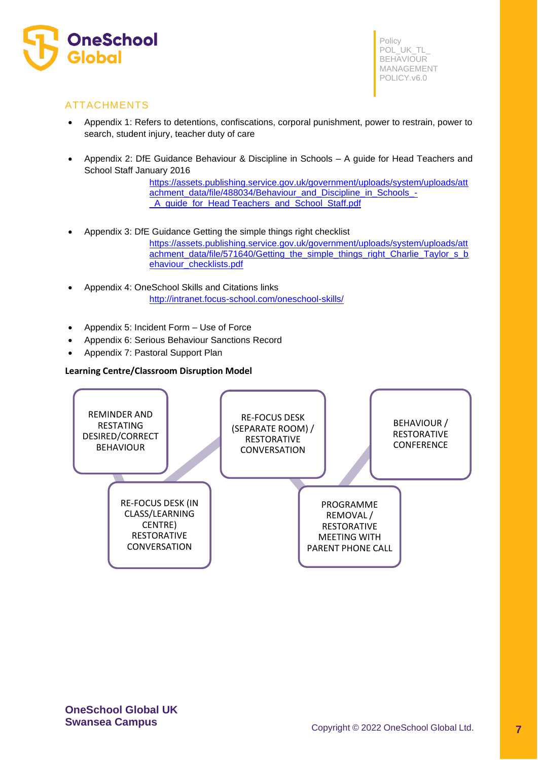

# ATTACHMENTS

- Appendix 1: Refers to detentions, confiscations, corporal punishment, power to restrain, power to search, student injury, teacher duty of care
- Appendix 2: DfE Guidance Behaviour & Discipline in Schools A guide for Head Teachers and School Staff January 2016

[https://assets.publishing.service.gov.uk/government/uploads/system/uploads/att](https://assets.publishing.service.gov.uk/government/uploads/system/uploads/attachment_data/file/488034/Behaviour_and_Discipline_in_Schools_-_A_guide_for_headteachers_and_School_Staff.pdf) [achment\\_data/file/488034/Behaviour\\_and\\_Discipline\\_in\\_Schools\\_-](https://assets.publishing.service.gov.uk/government/uploads/system/uploads/attachment_data/file/488034/Behaviour_and_Discipline_in_Schools_-_A_guide_for_headteachers_and_School_Staff.pdf) [\\_A\\_guide\\_for\\_Head Teachers\\_and\\_School\\_Staff.pdf](https://assets.publishing.service.gov.uk/government/uploads/system/uploads/attachment_data/file/488034/Behaviour_and_Discipline_in_Schools_-_A_guide_for_headteachers_and_School_Staff.pdf)

- Appendix 3: DfE Guidance Getting the simple things right checklist [https://assets.publishing.service.gov.uk/government/uploads/system/uploads/att](https://assets.publishing.service.gov.uk/government/uploads/system/uploads/attachment_data/file/571640/Getting_the_simple_things_right_Charlie_Taylor_s_behaviour_checklists.pdf) [achment\\_data/file/571640/Getting\\_the\\_simple\\_things\\_right\\_Charlie\\_Taylor\\_s\\_b](https://assets.publishing.service.gov.uk/government/uploads/system/uploads/attachment_data/file/571640/Getting_the_simple_things_right_Charlie_Taylor_s_behaviour_checklists.pdf) [ehaviour\\_checklists.pdf](https://assets.publishing.service.gov.uk/government/uploads/system/uploads/attachment_data/file/571640/Getting_the_simple_things_right_Charlie_Taylor_s_behaviour_checklists.pdf)
- Appendix 4: OneSchool Skills and Citations links <http://intranet.focus-school.com/oneschool-skills/>
- Appendix 5: Incident Form Use of Force
- Appendix 6: Serious Behaviour Sanctions Record
- Appendix 7: Pastoral Support Plan

## **Learning Centre/Classroom Disruption Model**

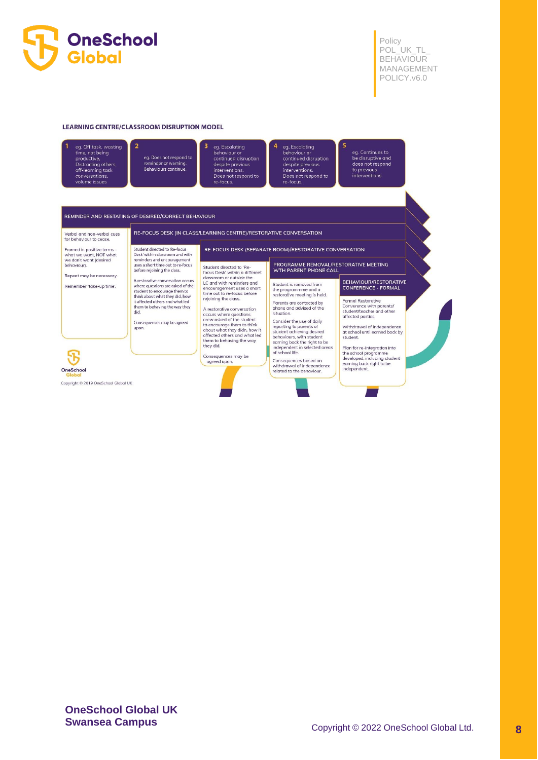

#### **LEARNING CENTRE/CLASSROOM DISRUPTION MODEL**



eg. Does not respond to reminder or warning Behaviours continue

eg. Escalating<br>behaviour or continued disruption despite previous<br>interventions. Does not respond to<br>re-focus.

eg. Escalating<br>behaviour or continued disruption despite previo<br>interventions. Does not respond to re-focus

eg. Continues to<br>be disruptive and<br>does not respond<br>to previous<br>interventions.

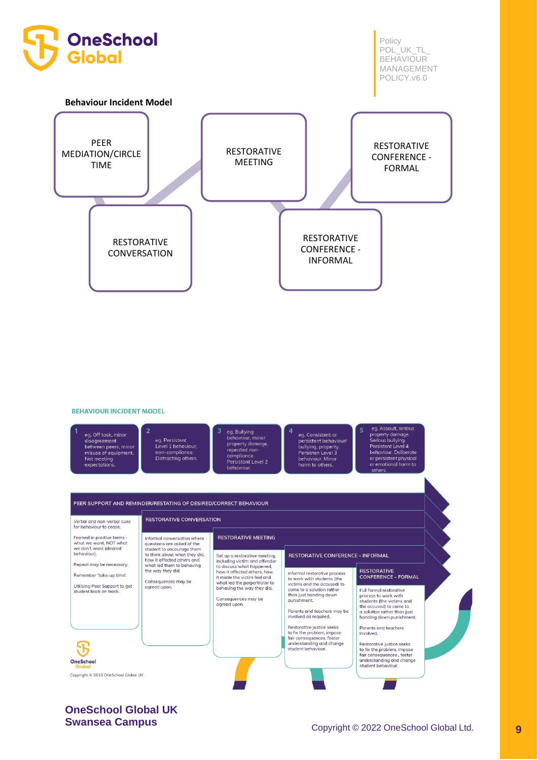